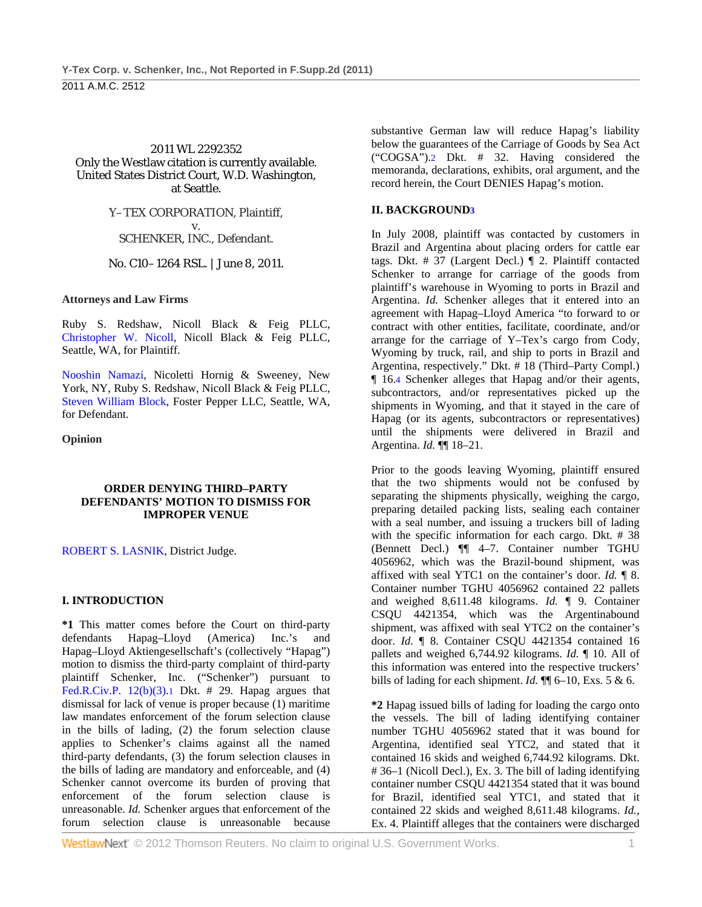#### 2011 WL 2292352 Only the Westlaw citation is currently available. United States District Court, W.D. Washington, at Seattle.

#### Y–TEX CORPORATION, Plaintiff, v. SCHENKER, INC., Defendant.

No. C10–1264 RSL. | June 8, 2011.

#### **Attorneys and Law Firms**

Ruby S. Redshaw, Nicoll Black & Feig PLLC, Christopher W. Nicoll, Nicoll Black & Feig PLLC, Seattle, WA, for Plaintiff.

Nooshin Namazi, Nicoletti Hornig & Sweeney, New York, NY, Ruby S. Redshaw, Nicoll Black & Feig PLLC, Steven William Block, Foster Pepper LLC, Seattle, WA, for Defendant.

**Opinion** 

#### **ORDER DENYING THIRD–PARTY DEFENDANTS' MOTION TO DISMISS FOR IMPROPER VENUE**

ROBERT S. LASNIK, District Judge.

# **I. INTRODUCTION**

**\*1** This matter comes before the Court on third-party defendants Hapag–Lloyd (America) Inc.'s and Hapag–Lloyd Aktiengesellschaft's (collectively "Hapag") motion to dismiss the third-party complaint of third-party plaintiff Schenker, Inc. ("Schenker") pursuant to Fed.R.Civ.P.  $12(b)(3) \cdot 1$  Dkt. # 29. Hapag argues that dismissal for lack of venue is proper because (1) maritime law mandates enforcement of the forum selection clause in the bills of lading, (2) the forum selection clause applies to Schenker's claims against all the named third-party defendants, (3) the forum selection clauses in the bills of lading are mandatory and enforceable, and (4) Schenker cannot overcome its burden of proving that enforcement of the forum selection clause is unreasonable. *Id.* Schenker argues that enforcement of the forum selection clause is unreasonable because

substantive German law will reduce Hapag's liability below the guarantees of the Carriage of Goods by Sea Act ("COGSA").2 Dkt. # 32. Having considered the memoranda, declarations, exhibits, oral argument, and the record herein, the Court DENIES Hapag's motion.

# **II. BACKGROUND3**

In July 2008, plaintiff was contacted by customers in Brazil and Argentina about placing orders for cattle ear tags. Dkt. # 37 (Largent Decl.) ¶ 2. Plaintiff contacted Schenker to arrange for carriage of the goods from plaintiff's warehouse in Wyoming to ports in Brazil and Argentina. *Id.* Schenker alleges that it entered into an agreement with Hapag–Lloyd America "to forward to or contract with other entities, facilitate, coordinate, and/or arrange for the carriage of Y–Tex's cargo from Cody, Wyoming by truck, rail, and ship to ports in Brazil and Argentina, respectively." Dkt. # 18 (Third–Party Compl.) ¶ 16.4 Schenker alleges that Hapag and/or their agents, subcontractors, and/or representatives picked up the shipments in Wyoming, and that it stayed in the care of Hapag (or its agents, subcontractors or representatives) until the shipments were delivered in Brazil and Argentina. *Id.* ¶¶ 18–21.

Prior to the goods leaving Wyoming, plaintiff ensured that the two shipments would not be confused by separating the shipments physically, weighing the cargo, preparing detailed packing lists, sealing each container with a seal number, and issuing a truckers bill of lading with the specific information for each cargo. Dkt. # 38 (Bennett Decl.) ¶¶ 4–7. Container number TGHU 4056962, which was the Brazil-bound shipment, was affixed with seal YTC1 on the container's door. *Id.* ¶ 8. Container number TGHU 4056962 contained 22 pallets and weighed 8,611.48 kilograms. *Id.* ¶ 9. Container CSQU 4421354, which was the Argentinabound shipment, was affixed with seal YTC2 on the container's door. *Id.* ¶ 8. Container CSQU 4421354 contained 16 pallets and weighed 6,744.92 kilograms. *Id.* ¶ 10. All of this information was entered into the respective truckers' bills of lading for each shipment. *Id.*  $\P$  6–10, Exs. 5 & 6.

**\*2** Hapag issued bills of lading for loading the cargo onto the vessels. The bill of lading identifying container number TGHU 4056962 stated that it was bound for Argentina, identified seal YTC2, and stated that it contained 16 skids and weighed 6,744.92 kilograms. Dkt. # 36–1 (Nicoll Decl.), Ex. 3. The bill of lading identifying container number CSQU 4421354 stated that it was bound for Brazil, identified seal YTC1, and stated that it contained 22 skids and weighed 8,611.48 kilograms. *Id.,* Ex. 4. Plaintiff alleges that the containers were discharged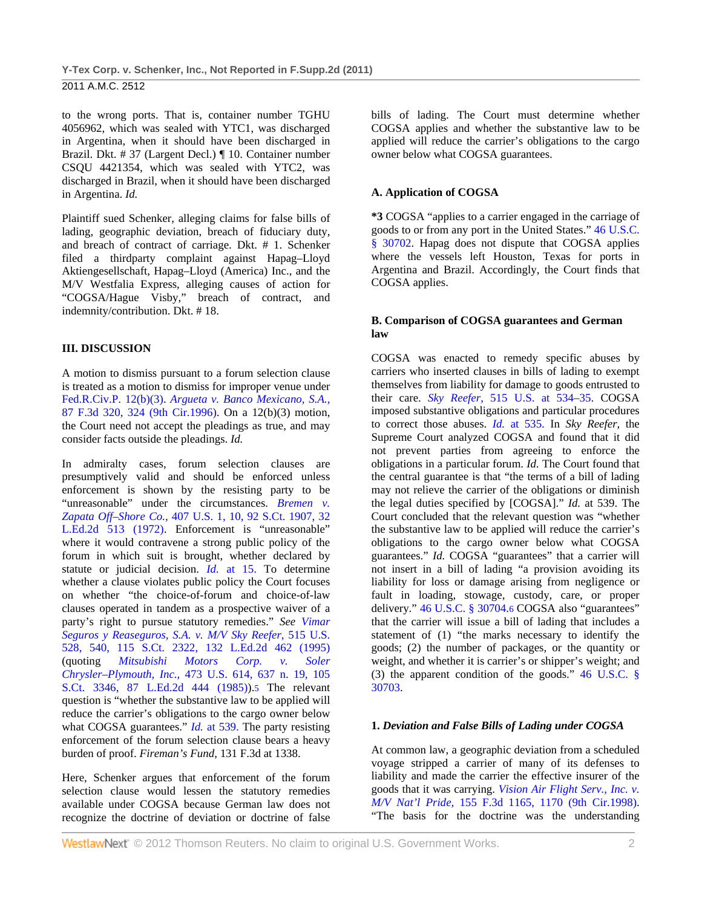to the wrong ports. That is, container number TGHU 4056962, which was sealed with YTC1, was discharged in Argentina, when it should have been discharged in Brazil. Dkt. # 37 (Largent Decl.) ¶ 10. Container number CSQU 4421354, which was sealed with YTC2, was discharged in Brazil, when it should have been discharged in Argentina. *Id.* 

Plaintiff sued Schenker, alleging claims for false bills of lading, geographic deviation, breach of fiduciary duty, and breach of contract of carriage. Dkt. # 1. Schenker filed a thirdparty complaint against Hapag–Lloyd Aktiengesellschaft, Hapag–Lloyd (America) Inc., and the M/V Westfalia Express, alleging causes of action for "COGSA/Hague Visby," breach of contract, and indemnity/contribution. Dkt. # 18.

#### **III. DISCUSSION**

A motion to dismiss pursuant to a forum selection clause is treated as a motion to dismiss for improper venue under Fed.R.Civ.P. 12(b)(3). *Argueta v. Banco Mexicano, S.A.,* 87 F.3d 320, 324 (9th Cir.1996). On a 12(b)(3) motion, the Court need not accept the pleadings as true, and may consider facts outside the pleadings. *Id.* 

In admiralty cases, forum selection clauses are presumptively valid and should be enforced unless enforcement is shown by the resisting party to be "unreasonable" under the circumstances. *Bremen v. Zapata Off–Shore Co.,* 407 U.S. 1, 10, 92 S.Ct. 1907, 32 L.Ed.2d 513 (1972). Enforcement is "unreasonable" where it would contravene a strong public policy of the forum in which suit is brought, whether declared by statute or judicial decision. *Id.* at 15. To determine whether a clause violates public policy the Court focuses on whether "the choice-of-forum and choice-of-law clauses operated in tandem as a prospective waiver of a party's right to pursue statutory remedies." *See Vimar Seguros y Reaseguros, S.A. v. M/V Sky Reefer,* 515 U.S. 528, 540, 115 S.Ct. 2322, 132 L.Ed.2d 462 (1995) (quoting *Mitsubishi Motors Corp. v. Soler Chrysler–Plymouth, Inc.,* 473 U.S. 614, 637 n. 19, 105 S.Ct. 3346, 87 L.Ed.2d 444 (1985)).5 The relevant question is "whether the substantive law to be applied will reduce the carrier's obligations to the cargo owner below what COGSA guarantees." *Id.* at 539. The party resisting enforcement of the forum selection clause bears a heavy burden of proof. *Fireman's Fund,* 131 F.3d at 1338.

Here, Schenker argues that enforcement of the forum selection clause would lessen the statutory remedies available under COGSA because German law does not recognize the doctrine of deviation or doctrine of false

bills of lading. The Court must determine whether COGSA applies and whether the substantive law to be applied will reduce the carrier's obligations to the cargo owner below what COGSA guarantees.

### **A. Application of COGSA**

**\*3** COGSA "applies to a carrier engaged in the carriage of goods to or from any port in the United States." 46 U.S.C. § 30702. Hapag does not dispute that COGSA applies where the vessels left Houston, Texas for ports in Argentina and Brazil. Accordingly, the Court finds that COGSA applies.

#### **B. Comparison of COGSA guarantees and German law**

COGSA was enacted to remedy specific abuses by carriers who inserted clauses in bills of lading to exempt themselves from liability for damage to goods entrusted to their care. *Sky Reefer,* 515 U.S. at 534–35. COGSA imposed substantive obligations and particular procedures to correct those abuses. *Id.* at 535. In *Sky Reefer,* the Supreme Court analyzed COGSA and found that it did not prevent parties from agreeing to enforce the obligations in a particular forum. *Id.* The Court found that the central guarantee is that "the terms of a bill of lading may not relieve the carrier of the obligations or diminish the legal duties specified by [COGSA]." *Id.* at 539. The Court concluded that the relevant question was "whether the substantive law to be applied will reduce the carrier's obligations to the cargo owner below what COGSA guarantees." *Id.* COGSA "guarantees" that a carrier will not insert in a bill of lading "a provision avoiding its liability for loss or damage arising from negligence or fault in loading, stowage, custody, care, or proper delivery." 46 U.S.C. § 30704.6 COGSA also "guarantees" that the carrier will issue a bill of lading that includes a statement of (1) "the marks necessary to identify the goods; (2) the number of packages, or the quantity or weight, and whether it is carrier's or shipper's weight; and (3) the apparent condition of the goods." 46 U.S.C. § 30703.

#### **1.** *Deviation and False Bills of Lading under COGSA*

At common law, a geographic deviation from a scheduled voyage stripped a carrier of many of its defenses to liability and made the carrier the effective insurer of the goods that it was carrying. *Vision Air Flight Serv., Inc. v. M/V Nat'l Pride,* 155 F.3d 1165, 1170 (9th Cir.1998). "The basis for the doctrine was the understanding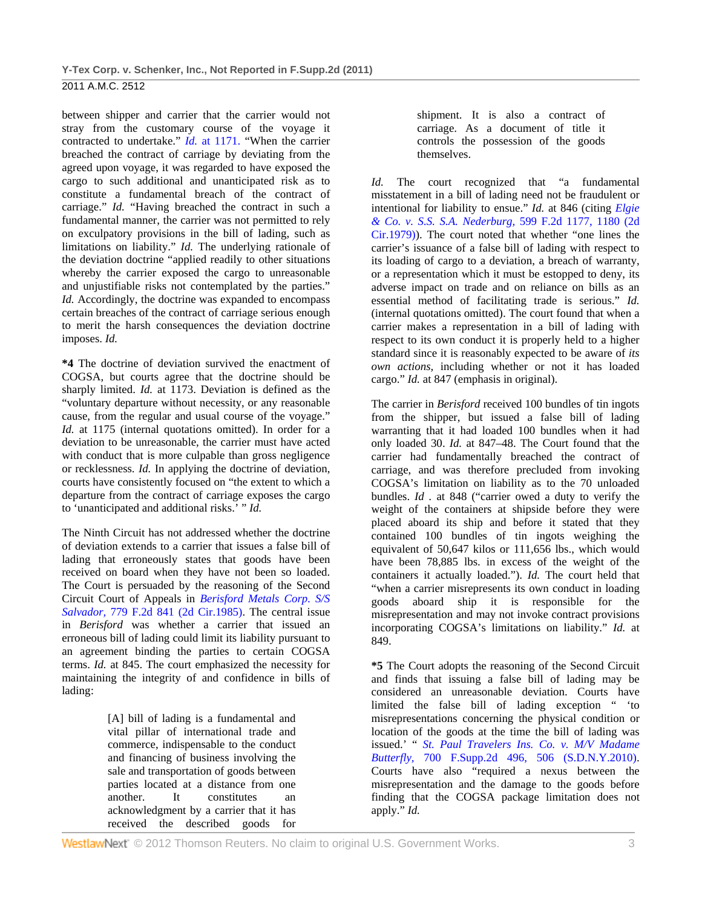between shipper and carrier that the carrier would not stray from the customary course of the voyage it contracted to undertake." *Id.* at 1171. "When the carrier breached the contract of carriage by deviating from the agreed upon voyage, it was regarded to have exposed the cargo to such additional and unanticipated risk as to constitute a fundamental breach of the contract of carriage." *Id.* "Having breached the contract in such a fundamental manner, the carrier was not permitted to rely on exculpatory provisions in the bill of lading, such as limitations on liability." *Id.* The underlying rationale of the deviation doctrine "applied readily to other situations whereby the carrier exposed the cargo to unreasonable and unjustifiable risks not contemplated by the parties." *Id.* Accordingly, the doctrine was expanded to encompass certain breaches of the contract of carriage serious enough to merit the harsh consequences the deviation doctrine imposes. *Id.* 

**\*4** The doctrine of deviation survived the enactment of COGSA, but courts agree that the doctrine should be sharply limited. *Id.* at 1173. Deviation is defined as the "voluntary departure without necessity, or any reasonable cause, from the regular and usual course of the voyage." *Id.* at 1175 (internal quotations omitted). In order for a deviation to be unreasonable, the carrier must have acted with conduct that is more culpable than gross negligence or recklessness. *Id.* In applying the doctrine of deviation, courts have consistently focused on "the extent to which a departure from the contract of carriage exposes the cargo to 'unanticipated and additional risks.' " *Id.* 

The Ninth Circuit has not addressed whether the doctrine of deviation extends to a carrier that issues a false bill of lading that erroneously states that goods have been received on board when they have not been so loaded. The Court is persuaded by the reasoning of the Second Circuit Court of Appeals in *Berisford Metals Corp. S/S Salvador,* 779 F.2d 841 (2d Cir.1985). The central issue in *Berisford* was whether a carrier that issued an erroneous bill of lading could limit its liability pursuant to an agreement binding the parties to certain COGSA terms. *Id.* at 845. The court emphasized the necessity for maintaining the integrity of and confidence in bills of lading:

> [A] bill of lading is a fundamental and vital pillar of international trade and commerce, indispensable to the conduct and financing of business involving the sale and transportation of goods between parties located at a distance from one another. It constitutes an acknowledgment by a carrier that it has received the described goods for

shipment. It is also a contract of carriage. As a document of title it controls the possession of the goods themselves.

*Id.* The court recognized that "a fundamental misstatement in a bill of lading need not be fraudulent or intentional for liability to ensue." *Id.* at 846 (citing *Elgie & Co. v. S.S. S.A. Nederburg,* 599 F.2d 1177, 1180 (2d Cir.1979)). The court noted that whether "one lines the carrier's issuance of a false bill of lading with respect to its loading of cargo to a deviation, a breach of warranty, or a representation which it must be estopped to deny, its adverse impact on trade and on reliance on bills as an essential method of facilitating trade is serious." *Id.* (internal quotations omitted). The court found that when a carrier makes a representation in a bill of lading with respect to its own conduct it is properly held to a higher standard since it is reasonably expected to be aware of *its own actions,* including whether or not it has loaded cargo." *Id.* at 847 (emphasis in original).

The carrier in *Berisford* received 100 bundles of tin ingots from the shipper, but issued a false bill of lading warranting that it had loaded 100 bundles when it had only loaded 30. *Id.* at 847–48. The Court found that the carrier had fundamentally breached the contract of carriage, and was therefore precluded from invoking COGSA's limitation on liability as to the 70 unloaded bundles. *Id .* at 848 ("carrier owed a duty to verify the weight of the containers at shipside before they were placed aboard its ship and before it stated that they contained 100 bundles of tin ingots weighing the equivalent of 50,647 kilos or 111,656 lbs., which would have been 78,885 lbs. in excess of the weight of the containers it actually loaded."). *Id.* The court held that "when a carrier misrepresents its own conduct in loading goods aboard ship it is responsible for the misrepresentation and may not invoke contract provisions incorporating COGSA's limitations on liability." *Id.* at 849.

**\*5** The Court adopts the reasoning of the Second Circuit and finds that issuing a false bill of lading may be considered an unreasonable deviation. Courts have limited the false bill of lading exception " 'to misrepresentations concerning the physical condition or location of the goods at the time the bill of lading was issued.' " *St. Paul Travelers Ins. Co. v. M/V Madame Butterfly,* 700 F.Supp.2d 496, 506 (S.D.N.Y.2010). Courts have also "required a nexus between the misrepresentation and the damage to the goods before finding that the COGSA package limitation does not apply." *Id.*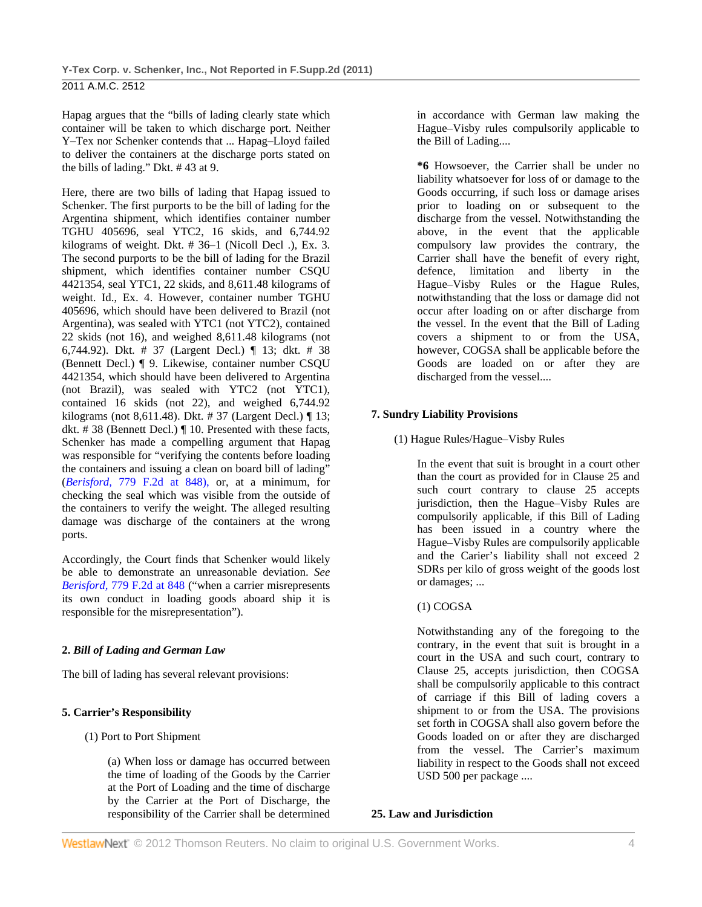Hapag argues that the "bills of lading clearly state which container will be taken to which discharge port. Neither Y–Tex nor Schenker contends that ... Hapag–Lloyd failed to deliver the containers at the discharge ports stated on the bills of lading." Dkt. # 43 at 9.

Here, there are two bills of lading that Hapag issued to Schenker. The first purports to be the bill of lading for the Argentina shipment, which identifies container number TGHU 405696, seal YTC2, 16 skids, and 6,744.92 kilograms of weight. Dkt. # 36–1 (Nicoll Decl .), Ex. 3. The second purports to be the bill of lading for the Brazil shipment, which identifies container number CSQU 4421354, seal YTC1, 22 skids, and 8,611.48 kilograms of weight. Id., Ex. 4. However, container number TGHU 405696, which should have been delivered to Brazil (not Argentina), was sealed with YTC1 (not YTC2), contained 22 skids (not 16), and weighed 8,611.48 kilograms (not 6,744.92). Dkt. # 37 (Largent Decl.) ¶ 13; dkt. # 38 (Bennett Decl.) ¶ 9. Likewise, container number CSQU 4421354, which should have been delivered to Argentina (not Brazil), was sealed with YTC2 (not YTC1), contained 16 skids (not 22), and weighed 6,744.92 kilograms (not 8,611.48). Dkt. # 37 (Largent Decl.) ¶ 13; dkt. # 38 (Bennett Decl.) ¶ 10. Presented with these facts, Schenker has made a compelling argument that Hapag was responsible for "verifying the contents before loading the containers and issuing a clean on board bill of lading" (*Berisford,* 779 F.2d at 848), or, at a minimum, for checking the seal which was visible from the outside of the containers to verify the weight. The alleged resulting damage was discharge of the containers at the wrong ports.

Accordingly, the Court finds that Schenker would likely be able to demonstrate an unreasonable deviation. *See Berisford,* 779 F.2d at 848 ("when a carrier misrepresents its own conduct in loading goods aboard ship it is responsible for the misrepresentation").

# **2.** *Bill of Lading and German Law*

The bill of lading has several relevant provisions:

# **5. Carrier's Responsibility**

# (1) Port to Port Shipment

(a) When loss or damage has occurred between the time of loading of the Goods by the Carrier at the Port of Loading and the time of discharge by the Carrier at the Port of Discharge, the responsibility of the Carrier shall be determined in accordance with German law making the Hague–Visby rules compulsorily applicable to the Bill of Lading....

**\*6** Howsoever, the Carrier shall be under no liability whatsoever for loss of or damage to the Goods occurring, if such loss or damage arises prior to loading on or subsequent to the discharge from the vessel. Notwithstanding the above, in the event that the applicable compulsory law provides the contrary, the Carrier shall have the benefit of every right, defence, limitation and liberty in the Hague–Visby Rules or the Hague Rules, notwithstanding that the loss or damage did not occur after loading on or after discharge from the vessel. In the event that the Bill of Lading covers a shipment to or from the USA, however, COGSA shall be applicable before the Goods are loaded on or after they are discharged from the vessel....

# **7. Sundry Liability Provisions**

(1) Hague Rules/Hague–Visby Rules

In the event that suit is brought in a court other than the court as provided for in Clause 25 and such court contrary to clause 25 accepts jurisdiction, then the Hague–Visby Rules are compulsorily applicable, if this Bill of Lading has been issued in a country where the Hague–Visby Rules are compulsorily applicable and the Carier's liability shall not exceed 2 SDRs per kilo of gross weight of the goods lost or damages; ...

# (1) COGSA

Notwithstanding any of the foregoing to the contrary, in the event that suit is brought in a court in the USA and such court, contrary to Clause 25, accepts jurisdiction, then COGSA shall be compulsorily applicable to this contract of carriage if this Bill of lading covers a shipment to or from the USA. The provisions set forth in COGSA shall also govern before the Goods loaded on or after they are discharged from the vessel. The Carrier's maximum liability in respect to the Goods shall not exceed USD 500 per package ....

# **25. Law and Jurisdiction**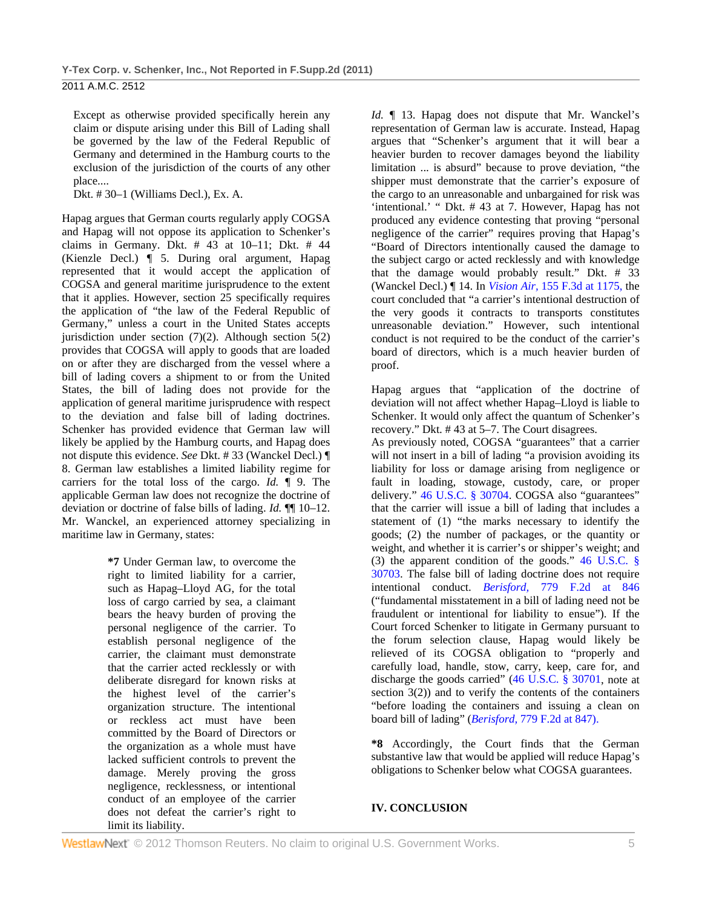Except as otherwise provided specifically herein any claim or dispute arising under this Bill of Lading shall be governed by the law of the Federal Republic of Germany and determined in the Hamburg courts to the exclusion of the jurisdiction of the courts of any other place....

Dkt. # 30–1 (Williams Decl.), Ex. A.

Hapag argues that German courts regularly apply COGSA and Hapag will not oppose its application to Schenker's claims in Germany. Dkt. # 43 at 10–11; Dkt. # 44 (Kienzle Decl.) ¶ 5. During oral argument, Hapag represented that it would accept the application of COGSA and general maritime jurisprudence to the extent that it applies. However, section 25 specifically requires the application of "the law of the Federal Republic of Germany," unless a court in the United States accepts jurisdiction under section  $(7)(2)$ . Although section  $5(2)$ provides that COGSA will apply to goods that are loaded on or after they are discharged from the vessel where a bill of lading covers a shipment to or from the United States, the bill of lading does not provide for the application of general maritime jurisprudence with respect to the deviation and false bill of lading doctrines. Schenker has provided evidence that German law will likely be applied by the Hamburg courts, and Hapag does not dispute this evidence. *See* Dkt. # 33 (Wanckel Decl.) ¶ 8. German law establishes a limited liability regime for carriers for the total loss of the cargo. *Id.* ¶ 9. The applicable German law does not recognize the doctrine of deviation or doctrine of false bills of lading. *Id.* ¶¶ 10–12. Mr. Wanckel, an experienced attorney specializing in maritime law in Germany, states:

> **\*7** Under German law, to overcome the right to limited liability for a carrier, such as Hapag–Lloyd AG, for the total loss of cargo carried by sea, a claimant bears the heavy burden of proving the personal negligence of the carrier. To establish personal negligence of the carrier, the claimant must demonstrate that the carrier acted recklessly or with deliberate disregard for known risks at the highest level of the carrier's organization structure. The intentional or reckless act must have been committed by the Board of Directors or the organization as a whole must have lacked sufficient controls to prevent the damage. Merely proving the gross negligence, recklessness, or intentional conduct of an employee of the carrier does not defeat the carrier's right to limit its liability.

*Id.* ¶ 13. Hapag does not dispute that Mr. Wanckel's representation of German law is accurate. Instead, Hapag argues that "Schenker's argument that it will bear a heavier burden to recover damages beyond the liability limitation ... is absurd" because to prove deviation, "the shipper must demonstrate that the carrier's exposure of the cargo to an unreasonable and unbargained for risk was 'intentional.' " Dkt. # 43 at 7. However, Hapag has not produced any evidence contesting that proving "personal negligence of the carrier" requires proving that Hapag's "Board of Directors intentionally caused the damage to the subject cargo or acted recklessly and with knowledge that the damage would probably result." Dkt. # 33 (Wanckel Decl.) ¶ 14. In *Vision Air,* 155 F.3d at 1175, the court concluded that "a carrier's intentional destruction of the very goods it contracts to transports constitutes unreasonable deviation." However, such intentional conduct is not required to be the conduct of the carrier's board of directors, which is a much heavier burden of proof.

Hapag argues that "application of the doctrine of deviation will not affect whether Hapag–Lloyd is liable to Schenker. It would only affect the quantum of Schenker's recovery." Dkt. # 43 at 5–7. The Court disagrees.

As previously noted, COGSA "guarantees" that a carrier will not insert in a bill of lading "a provision avoiding its liability for loss or damage arising from negligence or fault in loading, stowage, custody, care, or proper delivery." 46 U.S.C. § 30704. COGSA also "guarantees" that the carrier will issue a bill of lading that includes a statement of (1) "the marks necessary to identify the goods; (2) the number of packages, or the quantity or weight, and whether it is carrier's or shipper's weight; and (3) the apparent condition of the goods." 46 U.S.C. § 30703. The false bill of lading doctrine does not require intentional conduct. *Berisford,* 779 F.2d at 846 ("fundamental misstatement in a bill of lading need not be fraudulent or intentional for liability to ensue"). If the Court forced Schenker to litigate in Germany pursuant to the forum selection clause, Hapag would likely be relieved of its COGSA obligation to "properly and carefully load, handle, stow, carry, keep, care for, and discharge the goods carried" (46 U.S.C. § 30701, note at section 3(2)) and to verify the contents of the containers "before loading the containers and issuing a clean on board bill of lading" (*Berisford,* 779 F.2d at 847).

**\*8** Accordingly, the Court finds that the German substantive law that would be applied will reduce Hapag's obligations to Schenker below what COGSA guarantees.

### **IV. CONCLUSION**